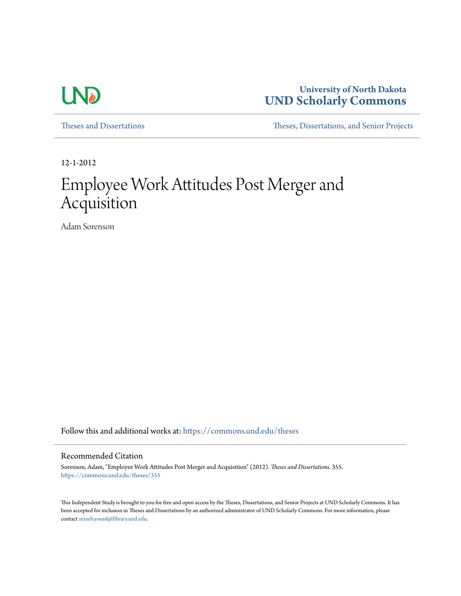

**University of North Dakota [UND Scholarly Commons](https://commons.und.edu?utm_source=commons.und.edu%2Ftheses%2F355&utm_medium=PDF&utm_campaign=PDFCoverPages)**

[Theses and Dissertations](https://commons.und.edu/theses?utm_source=commons.und.edu%2Ftheses%2F355&utm_medium=PDF&utm_campaign=PDFCoverPages) [Theses, Dissertations, and Senior Projects](https://commons.und.edu/etds?utm_source=commons.und.edu%2Ftheses%2F355&utm_medium=PDF&utm_campaign=PDFCoverPages)

12-1-2012

# Employee Work Attitudes Post Merger and Acquisition

Adam Sorenson

Follow this and additional works at: [https://commons.und.edu/theses](https://commons.und.edu/theses?utm_source=commons.und.edu%2Ftheses%2F355&utm_medium=PDF&utm_campaign=PDFCoverPages)

## Recommended Citation

Sorenson, Adam, "Employee Work Attitudes Post Merger and Acquisition" (2012). *Theses and Dissertations*. 355. [https://commons.und.edu/theses/355](https://commons.und.edu/theses/355?utm_source=commons.und.edu%2Ftheses%2F355&utm_medium=PDF&utm_campaign=PDFCoverPages)

This Independent Study is brought to you for free and open access by the Theses, Dissertations, and Senior Projects at UND Scholarly Commons. It has been accepted for inclusion in Theses and Dissertations by an authorized administrator of UND Scholarly Commons. For more information, please contact [zeineb.yousif@library.und.edu.](mailto:zeineb.yousif@library.und.edu)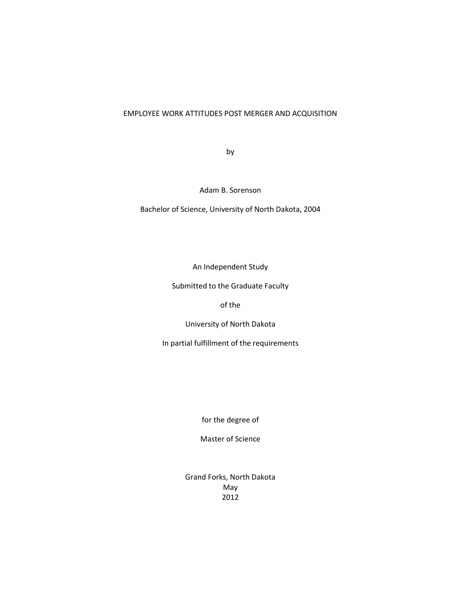# EMPLOYEE WORK ATTITUDES POST MERGER AND ACQUISITION

by

Adam B. Sorenson

Bachelor of Science, University of North Dakota, 2004

An Independent Study

Submitted to the Graduate Faculty

of the

University of North Dakota

In partial fulfillment of the requirements

for the degree of

Master of Science

Grand Forks, North Dakota May 2012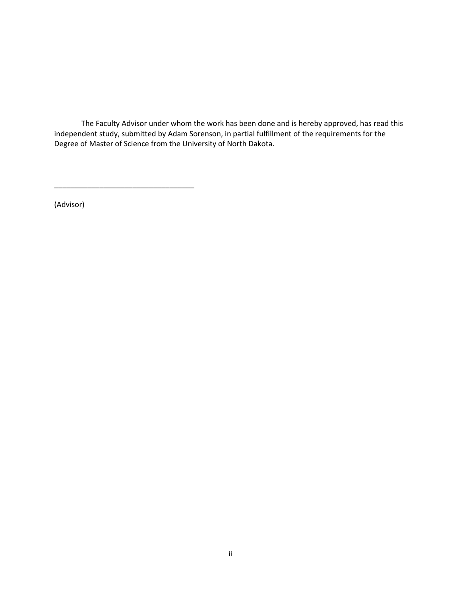The Faculty Advisor under whom the work has been done and is hereby approved, has read this independent study, submitted by Adam Sorenson, in partial fulfillment of the requirements for the Degree of Master of Science from the University of North Dakota.

(Advisor)

\_\_\_\_\_\_\_\_\_\_\_\_\_\_\_\_\_\_\_\_\_\_\_\_\_\_\_\_\_\_\_\_\_\_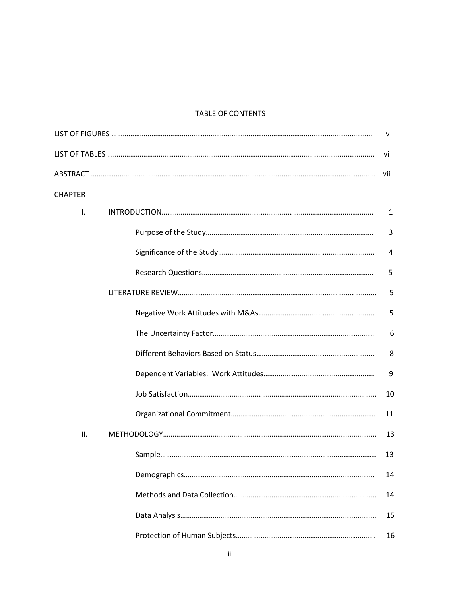# TABLE OF CONTENTS

|                | v   |
|----------------|-----|
|                | Vİ  |
|                | vii |
| <b>CHAPTER</b> |     |
| Ι.             | 1   |
|                | 3   |
|                | 4   |
|                | 5   |
|                | 5   |
|                | 5   |
|                | 6   |
|                | 8   |
|                | 9   |
|                | 10  |
|                | 11  |
| ΙΙ.            | 13  |
|                | 13  |
|                | 14  |
|                | 14  |
|                | 15  |
|                | 16  |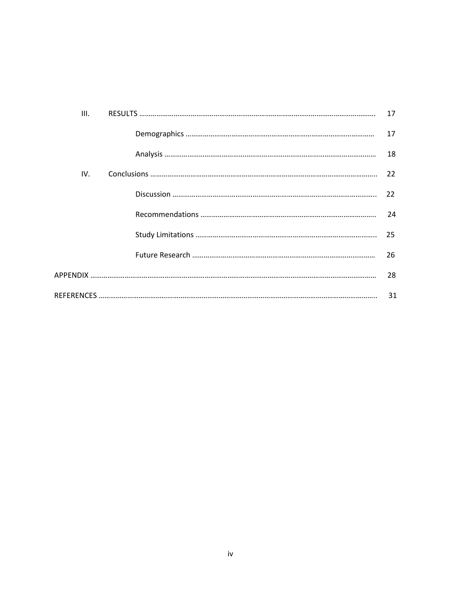| III. | 17 |
|------|----|
|      | 17 |
|      | 18 |
| IV.  | 22 |
|      | 22 |
|      | 24 |
|      | 25 |
|      | 26 |
|      | 28 |
|      | 31 |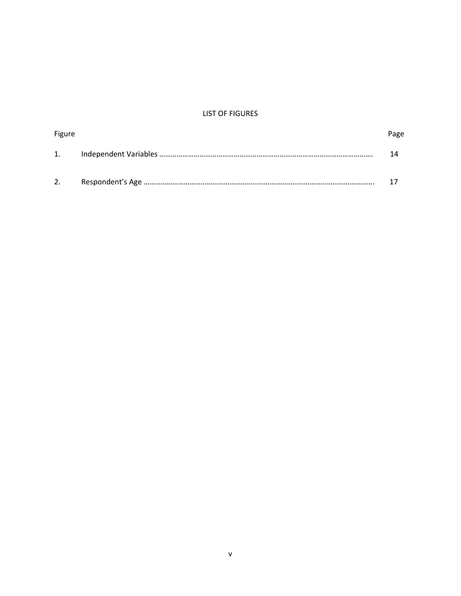# LIST OF FIGURES

| Figure | Page |
|--------|------|
| 1.     |      |
| 2.     |      |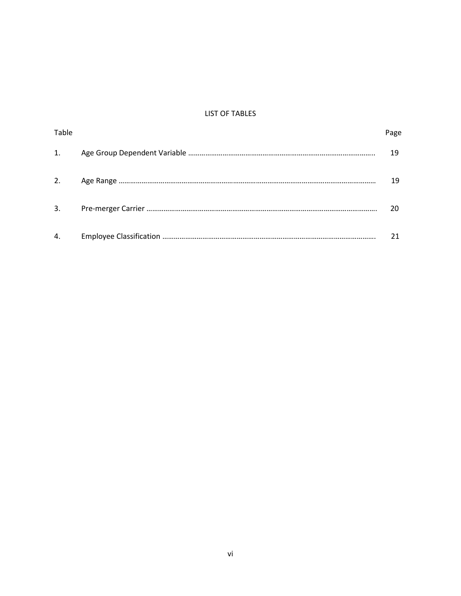# LIST OF TABLES

| Table | age |
|-------|-----|
| 1.    | 19  |
| 2.    | 19  |
| 3.    | 20  |
|       |     |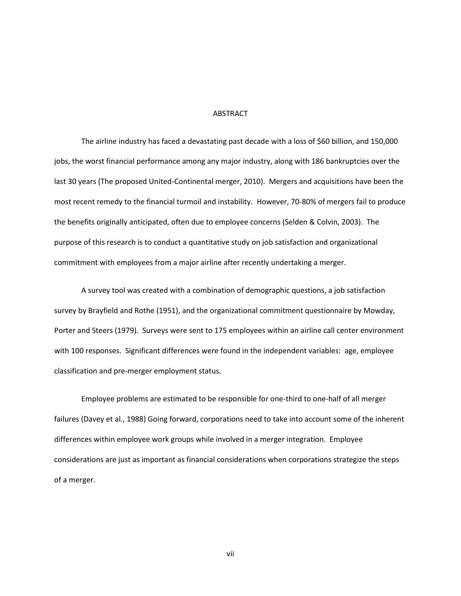## ABSTRACT

The airline industry has faced a devastating past decade with a loss of \$60 billion, and 150,000 jobs, the worst financial performance among any major industry, along with 186 bankruptcies over the last 30 years (The proposed United-Continental merger, 2010). Mergers and acquisitions have been the most recent remedy to the financial turmoil and instability. However, 70-80% of mergers fail to produce the benefits originally anticipated, often due to employee concerns (Selden & Colvin, 2003). The purpose of this research is to conduct a quantitative study on job satisfaction and organizational commitment with employees from a major airline after recently undertaking a merger.

A survey tool was created with a combination of demographic questions, a job satisfaction survey by Brayfield and Rothe (1951), and the organizational commitment questionnaire by Mowday, Porter and Steers (1979). Surveys were sent to 175 employees within an airline call center environment with 100 responses. Significant differences were found in the independent variables: age, employee classification and pre-merger employment status.

Employee problems are estimated to be responsible for one-third to one-half of all merger failures (Davey et al., 1988) Going forward, corporations need to take into account some of the inherent differences within employee work groups while involved in a merger integration. Employee considerations are just as important as financial considerations when corporations strategize the steps of a merger.

vii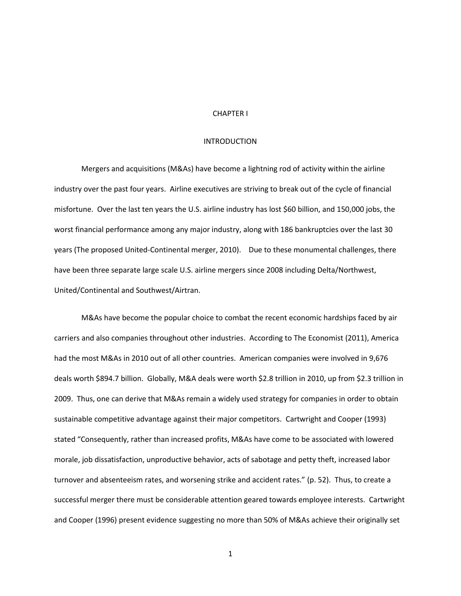## CHAPTER I

#### INTRODUCTION

Mergers and acquisitions (M&As) have become a lightning rod of activity within the airline industry over the past four years. Airline executives are striving to break out of the cycle of financial misfortune. Over the last ten years the U.S. airline industry has lost \$60 billion, and 150,000 jobs, the worst financial performance among any major industry, along with 186 bankruptcies over the last 30 years (The proposed United-Continental merger, 2010). Due to these monumental challenges, there have been three separate large scale U.S. airline mergers since 2008 including Delta/Northwest, United/Continental and Southwest/Airtran.

M&As have become the popular choice to combat the recent economic hardships faced by air carriers and also companies throughout other industries. According to The Economist (2011), America had the most M&As in 2010 out of all other countries. American companies were involved in 9,676 deals worth \$894.7 billion. Globally, M&A deals were worth \$2.8 trillion in 2010, up from \$2.3 trillion in 2009. Thus, one can derive that M&As remain a widely used strategy for companies in order to obtain sustainable competitive advantage against their major competitors. Cartwright and Cooper (1993) stated "Consequently, rather than increased profits, M&As have come to be associated with lowered morale, job dissatisfaction, unproductive behavior, acts of sabotage and petty theft, increased labor turnover and absenteeism rates, and worsening strike and accident rates." (p. 52). Thus, to create a successful merger there must be considerable attention geared towards employee interests. Cartwright and Cooper (1996) present evidence suggesting no more than 50% of M&As achieve their originally set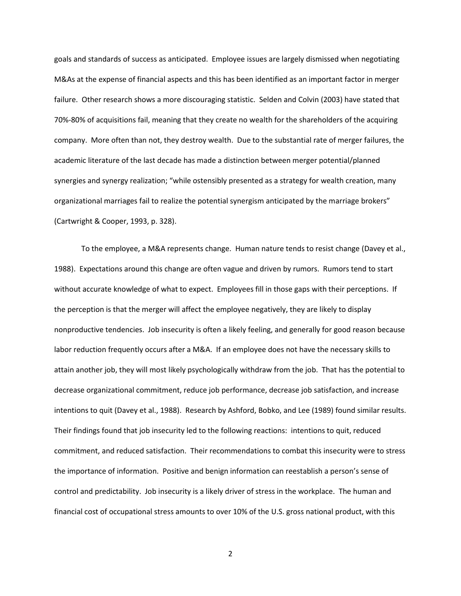goals and standards of success as anticipated. Employee issues are largely dismissed when negotiating M&As at the expense of financial aspects and this has been identified as an important factor in merger failure. Other research shows a more discouraging statistic. Selden and Colvin (2003) have stated that 70%-80% of acquisitions fail, meaning that they create no wealth for the shareholders of the acquiring company. More often than not, they destroy wealth. Due to the substantial rate of merger failures, the academic literature of the last decade has made a distinction between merger potential/planned synergies and synergy realization; "while ostensibly presented as a strategy for wealth creation, many organizational marriages fail to realize the potential synergism anticipated by the marriage brokers" (Cartwright & Cooper, 1993, p. 328).

To the employee, a M&A represents change. Human nature tends to resist change (Davey et al., 1988). Expectations around this change are often vague and driven by rumors. Rumors tend to start without accurate knowledge of what to expect. Employees fill in those gaps with their perceptions. If the perception is that the merger will affect the employee negatively, they are likely to display nonproductive tendencies. Job insecurity is often a likely feeling, and generally for good reason because labor reduction frequently occurs after a M&A. If an employee does not have the necessary skills to attain another job, they will most likely psychologically withdraw from the job. That has the potential to decrease organizational commitment, reduce job performance, decrease job satisfaction, and increase intentions to quit (Davey et al., 1988). Research by Ashford, Bobko, and Lee (1989) found similar results. Their findings found that job insecurity led to the following reactions: intentions to quit, reduced commitment, and reduced satisfaction. Their recommendations to combat this insecurity were to stress the importance of information. Positive and benign information can reestablish a person's sense of control and predictability. Job insecurity is a likely driver of stress in the workplace. The human and financial cost of occupational stress amounts to over 10% of the U.S. gross national product, with this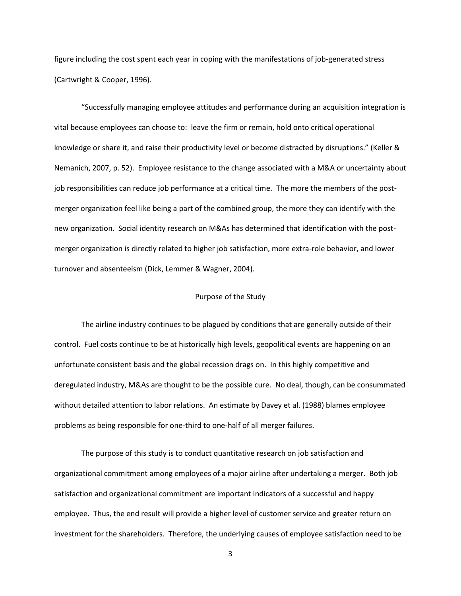figure including the cost spent each year in coping with the manifestations of job-generated stress (Cartwright & Cooper, 1996).

"Successfully managing employee attitudes and performance during an acquisition integration is vital because employees can choose to: leave the firm or remain, hold onto critical operational knowledge or share it, and raise their productivity level or become distracted by disruptions." (Keller & Nemanich, 2007, p. 52). Employee resistance to the change associated with a M&A or uncertainty about job responsibilities can reduce job performance at a critical time. The more the members of the postmerger organization feel like being a part of the combined group, the more they can identify with the new organization. Social identity research on M&As has determined that identification with the postmerger organization is directly related to higher job satisfaction, more extra-role behavior, and lower turnover and absenteeism (Dick, Lemmer & Wagner, 2004).

### Purpose of the Study

The airline industry continues to be plagued by conditions that are generally outside of their control. Fuel costs continue to be at historically high levels, geopolitical events are happening on an unfortunate consistent basis and the global recession drags on. In this highly competitive and deregulated industry, M&As are thought to be the possible cure. No deal, though, can be consummated without detailed attention to labor relations. An estimate by Davey et al. (1988) blames employee problems as being responsible for one-third to one-half of all merger failures.

The purpose of this study is to conduct quantitative research on job satisfaction and organizational commitment among employees of a major airline after undertaking a merger. Both job satisfaction and organizational commitment are important indicators of a successful and happy employee. Thus, the end result will provide a higher level of customer service and greater return on investment for the shareholders. Therefore, the underlying causes of employee satisfaction need to be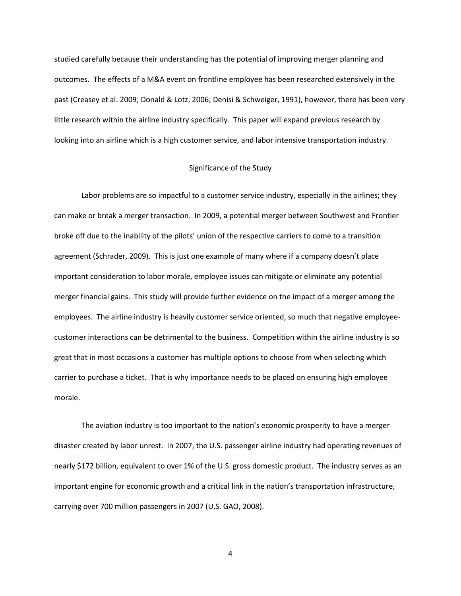studied carefully because their understanding has the potential of improving merger planning and outcomes. The effects of a M&A event on frontline employee has been researched extensively in the past (Creasey et al. 2009; Donald & Lotz, 2006; Denisi & Schweiger, 1991), however, there has been very little research within the airline industry specifically. This paper will expand previous research by looking into an airline which is a high customer service, and labor intensive transportation industry.

#### Significance of the Study

Labor problems are so impactful to a customer service industry, especially in the airlines; they can make or break a merger transaction. In 2009, a potential merger between Southwest and Frontier broke off due to the inability of the pilots' union of the respective carriers to come to a transition agreement (Schrader, 2009). This is just one example of many where if a company doesn't place important consideration to labor morale, employee issues can mitigate or eliminate any potential merger financial gains. This study will provide further evidence on the impact of a merger among the employees. The airline industry is heavily customer service oriented, so much that negative employeecustomer interactions can be detrimental to the business. Competition within the airline industry is so great that in most occasions a customer has multiple options to choose from when selecting which carrier to purchase a ticket. That is why importance needs to be placed on ensuring high employee morale.

The aviation industry is too important to the nation's economic prosperity to have a merger disaster created by labor unrest. In 2007, the U.S. passenger airline industry had operating revenues of nearly \$172 billion, equivalent to over 1% of the U.S. gross domestic product. The industry serves as an important engine for economic growth and a critical link in the nation's transportation infrastructure, carrying over 700 million passengers in 2007 (U.S. GAO, 2008).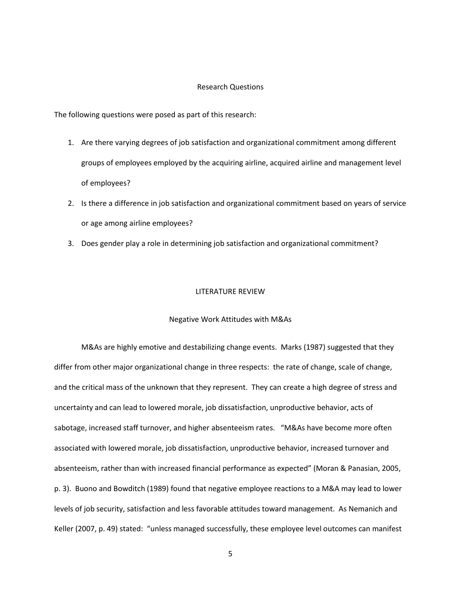#### Research Questions

The following questions were posed as part of this research:

- 1. Are there varying degrees of job satisfaction and organizational commitment among different groups of employees employed by the acquiring airline, acquired airline and management level of employees?
- 2. Is there a difference in job satisfaction and organizational commitment based on years of service or age among airline employees?
- 3. Does gender play a role in determining job satisfaction and organizational commitment?

#### LITERATURE REVIEW

#### Negative Work Attitudes with M&As

M&As are highly emotive and destabilizing change events. Marks (1987) suggested that they differ from other major organizational change in three respects: the rate of change, scale of change, and the critical mass of the unknown that they represent. They can create a high degree of stress and uncertainty and can lead to lowered morale, job dissatisfaction, unproductive behavior, acts of sabotage, increased staff turnover, and higher absenteeism rates. "M&As have become more often associated with lowered morale, job dissatisfaction, unproductive behavior, increased turnover and absenteeism, rather than with increased financial performance as expected" (Moran & Panasian, 2005, p. 3). Buono and Bowditch (1989) found that negative employee reactions to a M&A may lead to lower levels of job security, satisfaction and less favorable attitudes toward management. As Nemanich and Keller (2007, p. 49) stated: "unless managed successfully, these employee level outcomes can manifest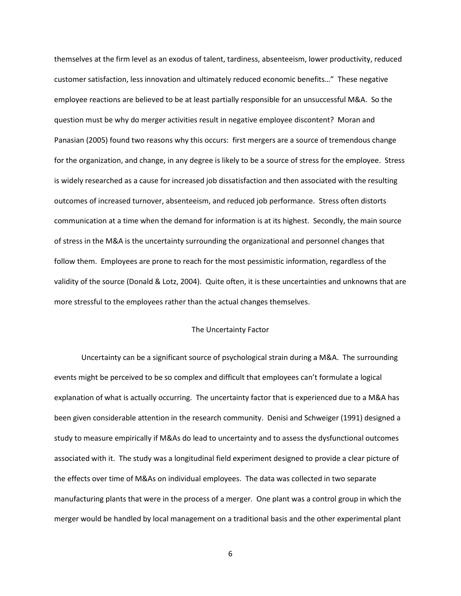themselves at the firm level as an exodus of talent, tardiness, absenteeism, lower productivity, reduced customer satisfaction, less innovation and ultimately reduced economic benefits…" These negative employee reactions are believed to be at least partially responsible for an unsuccessful M&A. So the question must be why do merger activities result in negative employee discontent? Moran and Panasian (2005) found two reasons why this occurs: first mergers are a source of tremendous change for the organization, and change, in any degree is likely to be a source of stress for the employee. Stress is widely researched as a cause for increased job dissatisfaction and then associated with the resulting outcomes of increased turnover, absenteeism, and reduced job performance. Stress often distorts communication at a time when the demand for information is at its highest. Secondly, the main source of stress in the M&A is the uncertainty surrounding the organizational and personnel changes that follow them. Employees are prone to reach for the most pessimistic information, regardless of the validity of the source (Donald & Lotz, 2004). Quite often, it is these uncertainties and unknowns that are more stressful to the employees rather than the actual changes themselves.

#### The Uncertainty Factor

Uncertainty can be a significant source of psychological strain during a M&A. The surrounding events might be perceived to be so complex and difficult that employees can't formulate a logical explanation of what is actually occurring. The uncertainty factor that is experienced due to a M&A has been given considerable attention in the research community. Denisi and Schweiger (1991) designed a study to measure empirically if M&As do lead to uncertainty and to assess the dysfunctional outcomes associated with it. The study was a longitudinal field experiment designed to provide a clear picture of the effects over time of M&As on individual employees. The data was collected in two separate manufacturing plants that were in the process of a merger. One plant was a control group in which the merger would be handled by local management on a traditional basis and the other experimental plant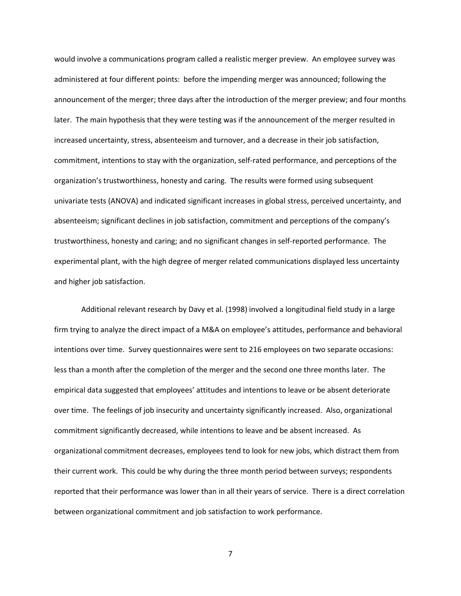would involve a communications program called a realistic merger preview. An employee survey was administered at four different points: before the impending merger was announced; following the announcement of the merger; three days after the introduction of the merger preview; and four months later. The main hypothesis that they were testing was if the announcement of the merger resulted in increased uncertainty, stress, absenteeism and turnover, and a decrease in their job satisfaction, commitment, intentions to stay with the organization, self-rated performance, and perceptions of the organization's trustworthiness, honesty and caring. The results were formed using subsequent univariate tests (ANOVA) and indicated significant increases in global stress, perceived uncertainty, and absenteeism; significant declines in job satisfaction, commitment and perceptions of the company's trustworthiness, honesty and caring; and no significant changes in self-reported performance. The experimental plant, with the high degree of merger related communications displayed less uncertainty and higher job satisfaction.

Additional relevant research by Davy et al. (1998) involved a longitudinal field study in a large firm trying to analyze the direct impact of a M&A on employee's attitudes, performance and behavioral intentions over time. Survey questionnaires were sent to 216 employees on two separate occasions: less than a month after the completion of the merger and the second one three months later. The empirical data suggested that employees' attitudes and intentions to leave or be absent deteriorate over time. The feelings of job insecurity and uncertainty significantly increased. Also, organizational commitment significantly decreased, while intentions to leave and be absent increased. As organizational commitment decreases, employees tend to look for new jobs, which distract them from their current work. This could be why during the three month period between surveys; respondents reported that their performance was lower than in all their years of service. There is a direct correlation between organizational commitment and job satisfaction to work performance.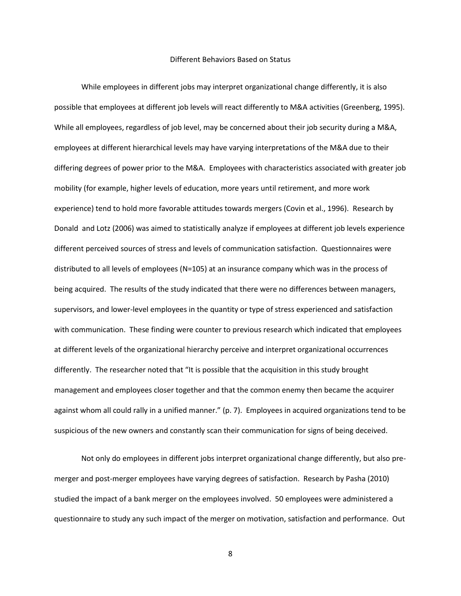#### Different Behaviors Based on Status

While employees in different jobs may interpret organizational change differently, it is also possible that employees at different job levels will react differently to M&A activities (Greenberg, 1995). While all employees, regardless of job level, may be concerned about their job security during a M&A, employees at different hierarchical levels may have varying interpretations of the M&A due to their differing degrees of power prior to the M&A. Employees with characteristics associated with greater job mobility (for example, higher levels of education, more years until retirement, and more work experience) tend to hold more favorable attitudes towards mergers (Covin et al., 1996). Research by Donald and Lotz (2006) was aimed to statistically analyze if employees at different job levels experience different perceived sources of stress and levels of communication satisfaction. Questionnaires were distributed to all levels of employees (N=105) at an insurance company which was in the process of being acquired. The results of the study indicated that there were no differences between managers, supervisors, and lower-level employees in the quantity or type of stress experienced and satisfaction with communication. These finding were counter to previous research which indicated that employees at different levels of the organizational hierarchy perceive and interpret organizational occurrences differently. The researcher noted that "It is possible that the acquisition in this study brought management and employees closer together and that the common enemy then became the acquirer against whom all could rally in a unified manner." (p. 7). Employees in acquired organizations tend to be suspicious of the new owners and constantly scan their communication for signs of being deceived.

Not only do employees in different jobs interpret organizational change differently, but also premerger and post-merger employees have varying degrees of satisfaction. Research by Pasha (2010) studied the impact of a bank merger on the employees involved. 50 employees were administered a questionnaire to study any such impact of the merger on motivation, satisfaction and performance. Out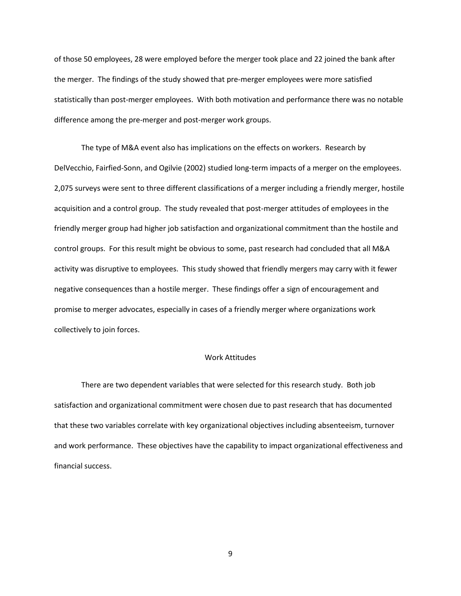of those 50 employees, 28 were employed before the merger took place and 22 joined the bank after the merger. The findings of the study showed that pre-merger employees were more satisfied statistically than post-merger employees. With both motivation and performance there was no notable difference among the pre-merger and post-merger work groups.

The type of M&A event also has implications on the effects on workers. Research by DelVecchio, Fairfied-Sonn, and Ogilvie (2002) studied long-term impacts of a merger on the employees. 2,075 surveys were sent to three different classifications of a merger including a friendly merger, hostile acquisition and a control group. The study revealed that post-merger attitudes of employees in the friendly merger group had higher job satisfaction and organizational commitment than the hostile and control groups. For this result might be obvious to some, past research had concluded that all M&A activity was disruptive to employees. This study showed that friendly mergers may carry with it fewer negative consequences than a hostile merger. These findings offer a sign of encouragement and promise to merger advocates, especially in cases of a friendly merger where organizations work collectively to join forces.

#### Work Attitudes

There are two dependent variables that were selected for this research study. Both job satisfaction and organizational commitment were chosen due to past research that has documented that these two variables correlate with key organizational objectives including absenteeism, turnover and work performance. These objectives have the capability to impact organizational effectiveness and financial success.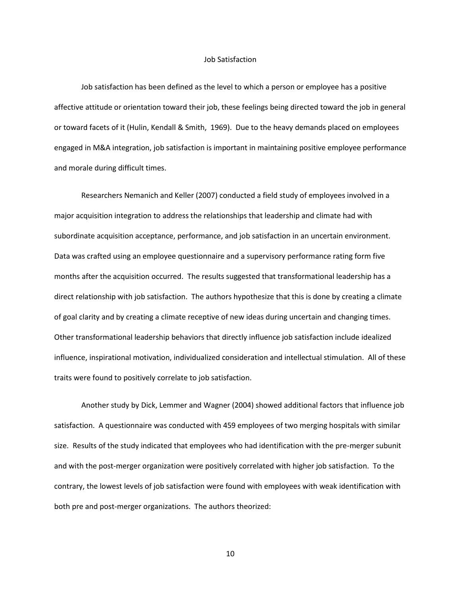#### Job Satisfaction

Job satisfaction has been defined as the level to which a person or employee has a positive affective attitude or orientation toward their job, these feelings being directed toward the job in general or toward facets of it (Hulin, Kendall & Smith, 1969). Due to the heavy demands placed on employees engaged in M&A integration, job satisfaction is important in maintaining positive employee performance and morale during difficult times.

Researchers Nemanich and Keller (2007) conducted a field study of employees involved in a major acquisition integration to address the relationships that leadership and climate had with subordinate acquisition acceptance, performance, and job satisfaction in an uncertain environment. Data was crafted using an employee questionnaire and a supervisory performance rating form five months after the acquisition occurred. The results suggested that transformational leadership has a direct relationship with job satisfaction. The authors hypothesize that this is done by creating a climate of goal clarity and by creating a climate receptive of new ideas during uncertain and changing times. Other transformational leadership behaviors that directly influence job satisfaction include idealized influence, inspirational motivation, individualized consideration and intellectual stimulation. All of these traits were found to positively correlate to job satisfaction.

Another study by Dick, Lemmer and Wagner (2004) showed additional factors that influence job satisfaction. A questionnaire was conducted with 459 employees of two merging hospitals with similar size. Results of the study indicated that employees who had identification with the pre-merger subunit and with the post-merger organization were positively correlated with higher job satisfaction. To the contrary, the lowest levels of job satisfaction were found with employees with weak identification with both pre and post-merger organizations. The authors theorized: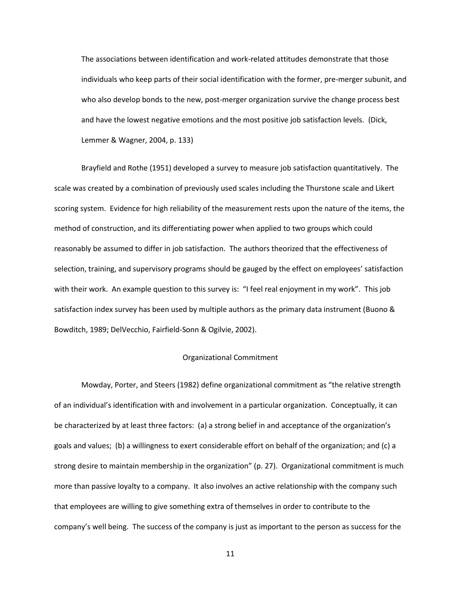The associations between identification and work-related attitudes demonstrate that those individuals who keep parts of their social identification with the former, pre-merger subunit, and who also develop bonds to the new, post-merger organization survive the change process best and have the lowest negative emotions and the most positive job satisfaction levels. (Dick, Lemmer & Wagner, 2004, p. 133)

Brayfield and Rothe (1951) developed a survey to measure job satisfaction quantitatively. The scale was created by a combination of previously used scales including the Thurstone scale and Likert scoring system. Evidence for high reliability of the measurement rests upon the nature of the items, the method of construction, and its differentiating power when applied to two groups which could reasonably be assumed to differ in job satisfaction. The authors theorized that the effectiveness of selection, training, and supervisory programs should be gauged by the effect on employees' satisfaction with their work. An example question to this survey is: "I feel real enjoyment in my work". This job satisfaction index survey has been used by multiple authors as the primary data instrument (Buono & Bowditch, 1989; DelVecchio, Fairfield-Sonn & Ogilvie, 2002).

#### Organizational Commitment

Mowday, Porter, and Steers (1982) define organizational commitment as "the relative strength of an individual's identification with and involvement in a particular organization. Conceptually, it can be characterized by at least three factors: (a) a strong belief in and acceptance of the organization's goals and values; (b) a willingness to exert considerable effort on behalf of the organization; and (c) a strong desire to maintain membership in the organization" (p. 27). Organizational commitment is much more than passive loyalty to a company. It also involves an active relationship with the company such that employees are willing to give something extra of themselves in order to contribute to the company's well being. The success of the company is just as important to the person as success for the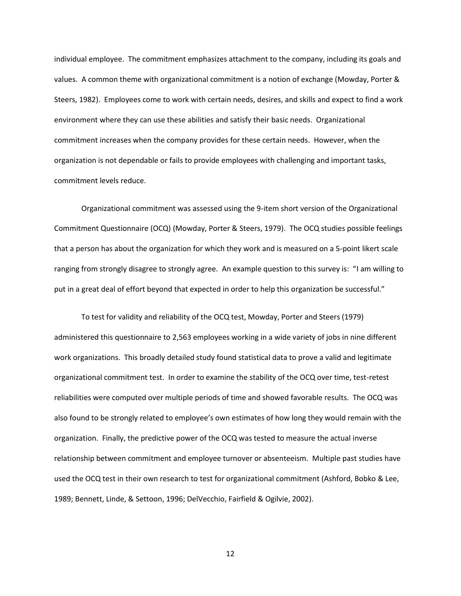individual employee. The commitment emphasizes attachment to the company, including its goals and values. A common theme with organizational commitment is a notion of exchange (Mowday, Porter & Steers, 1982). Employees come to work with certain needs, desires, and skills and expect to find a work environment where they can use these abilities and satisfy their basic needs. Organizational commitment increases when the company provides for these certain needs. However, when the organization is not dependable or fails to provide employees with challenging and important tasks, commitment levels reduce.

Organizational commitment was assessed using the 9-item short version of the Organizational Commitment Questionnaire (OCQ) (Mowday, Porter & Steers, 1979). The OCQ studies possible feelings that a person has about the organization for which they work and is measured on a 5-point likert scale ranging from strongly disagree to strongly agree. An example question to this survey is: "I am willing to put in a great deal of effort beyond that expected in order to help this organization be successful."

To test for validity and reliability of the OCQ test, Mowday, Porter and Steers (1979) administered this questionnaire to 2,563 employees working in a wide variety of jobs in nine different work organizations. This broadly detailed study found statistical data to prove a valid and legitimate organizational commitment test. In order to examine the stability of the OCQ over time, test-retest reliabilities were computed over multiple periods of time and showed favorable results. The OCQ was also found to be strongly related to employee's own estimates of how long they would remain with the organization. Finally, the predictive power of the OCQ was tested to measure the actual inverse relationship between commitment and employee turnover or absenteeism. Multiple past studies have used the OCQ test in their own research to test for organizational commitment (Ashford, Bobko & Lee, 1989; Bennett, Linde, & Settoon, 1996; DelVecchio, Fairfield & Ogilvie, 2002).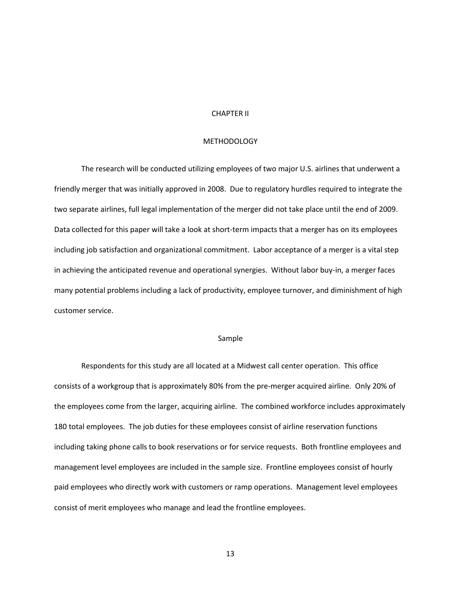## CHAPTER II

## **METHODOLOGY**

The research will be conducted utilizing employees of two major U.S. airlines that underwent a friendly merger that was initially approved in 2008. Due to regulatory hurdles required to integrate the two separate airlines, full legal implementation of the merger did not take place until the end of 2009. Data collected for this paper will take a look at short-term impacts that a merger has on its employees including job satisfaction and organizational commitment. Labor acceptance of a merger is a vital step in achieving the anticipated revenue and operational synergies. Without labor buy-in, a merger faces many potential problems including a lack of productivity, employee turnover, and diminishment of high customer service.

## Sample

Respondents for this study are all located at a Midwest call center operation. This office consists of a workgroup that is approximately 80% from the pre-merger acquired airline. Only 20% of the employees come from the larger, acquiring airline. The combined workforce includes approximately 180 total employees. The job duties for these employees consist of airline reservation functions including taking phone calls to book reservations or for service requests. Both frontline employees and management level employees are included in the sample size. Frontline employees consist of hourly paid employees who directly work with customers or ramp operations. Management level employees consist of merit employees who manage and lead the frontline employees.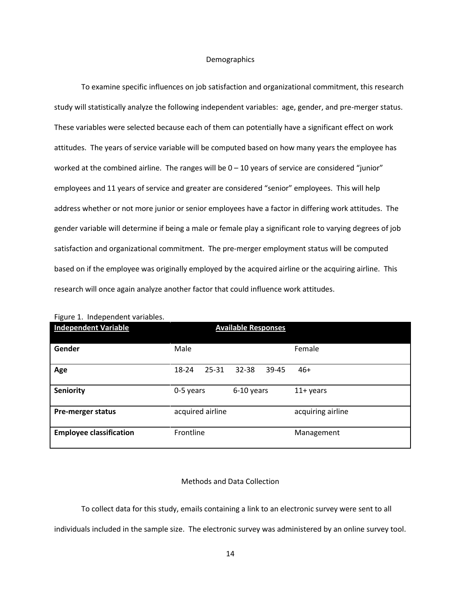#### Demographics

To examine specific influences on job satisfaction and organizational commitment, this research study will statistically analyze the following independent variables: age, gender, and pre-merger status. These variables were selected because each of them can potentially have a significant effect on work attitudes. The years of service variable will be computed based on how many years the employee has worked at the combined airline. The ranges will be  $0 - 10$  years of service are considered "junior" employees and 11 years of service and greater are considered "senior" employees. This will help address whether or not more junior or senior employees have a factor in differing work attitudes. The gender variable will determine if being a male or female play a significant role to varying degrees of job satisfaction and organizational commitment. The pre-merger employment status will be computed based on if the employee was originally employed by the acquired airline or the acquiring airline. This research will once again analyze another factor that could influence work attitudes.

| There is macpellacile variables.<br><b>Independent Variable</b> | <b>Available Responses</b> |                    |                   |  |  |
|-----------------------------------------------------------------|----------------------------|--------------------|-------------------|--|--|
| Gender                                                          | Male                       |                    | Female            |  |  |
| Age                                                             | 25-31<br>18-24             | $32 - 38$<br>39-45 | $46+$             |  |  |
| <b>Seniority</b>                                                | 0-5 years                  | 6-10 years         | $11+$ years       |  |  |
| <b>Pre-merger status</b>                                        | acquired airline           |                    | acquiring airline |  |  |
| <b>Employee classification</b>                                  | Frontline                  |                    | Management        |  |  |

Figure 1. Independent variables.

## Methods and Data Collection

To collect data for this study, emails containing a link to an electronic survey were sent to all

individuals included in the sample size. The electronic survey was administered by an online survey tool.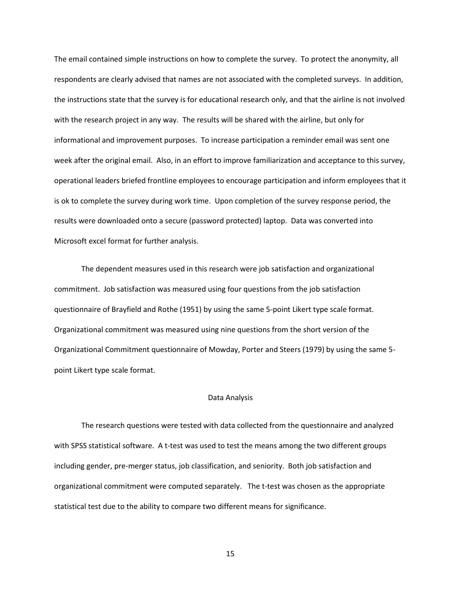The email contained simple instructions on how to complete the survey. To protect the anonymity, all respondents are clearly advised that names are not associated with the completed surveys. In addition, the instructions state that the survey is for educational research only, and that the airline is not involved with the research project in any way. The results will be shared with the airline, but only for informational and improvement purposes. To increase participation a reminder email was sent one week after the original email. Also, in an effort to improve familiarization and acceptance to this survey, operational leaders briefed frontline employees to encourage participation and inform employees that it is ok to complete the survey during work time. Upon completion of the survey response period, the results were downloaded onto a secure (password protected) laptop. Data was converted into Microsoft excel format for further analysis.

The dependent measures used in this research were job satisfaction and organizational commitment. Job satisfaction was measured using four questions from the job satisfaction questionnaire of Brayfield and Rothe (1951) by using the same 5-point Likert type scale format. Organizational commitment was measured using nine questions from the short version of the Organizational Commitment questionnaire of Mowday, Porter and Steers (1979) by using the same 5 point Likert type scale format.

#### Data Analysis

The research questions were tested with data collected from the questionnaire and analyzed with SPSS statistical software. A t-test was used to test the means among the two different groups including gender, pre-merger status, job classification, and seniority. Both job satisfaction and organizational commitment were computed separately. The t-test was chosen as the appropriate statistical test due to the ability to compare two different means for significance.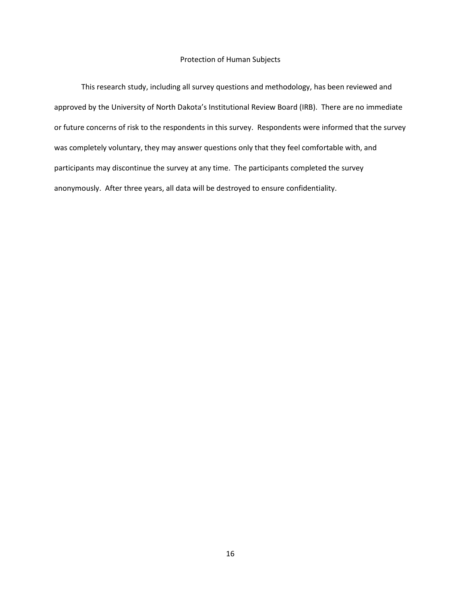## Protection of Human Subjects

This research study, including all survey questions and methodology, has been reviewed and approved by the University of North Dakota's Institutional Review Board (IRB). There are no immediate or future concerns of risk to the respondents in this survey. Respondents were informed that the survey was completely voluntary, they may answer questions only that they feel comfortable with, and participants may discontinue the survey at any time. The participants completed the survey anonymously. After three years, all data will be destroyed to ensure confidentiality.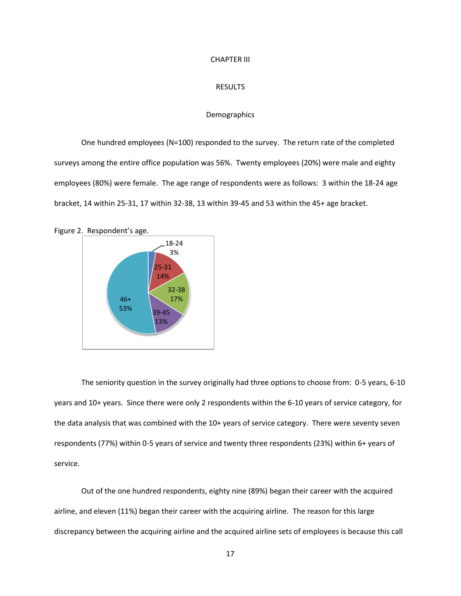#### CHAPTER III

#### RESULTS

## **Demographics**

One hundred employees (N=100) responded to the survey. The return rate of the completed surveys among the entire office population was 56%. Twenty employees (20%) were male and eighty employees (80%) were female. The age range of respondents were as follows: 3 within the 18-24 age bracket, 14 within 25-31, 17 within 32-38, 13 within 39-45 and 53 within the 45+ age bracket.





The seniority question in the survey originally had three options to choose from: 0-5 years, 6-10 years and 10+ years. Since there were only 2 respondents within the 6-10 years of service category, for the data analysis that was combined with the 10+ years of service category. There were seventy seven respondents (77%) within 0-5 years of service and twenty three respondents (23%) within 6+ years of service.

Out of the one hundred respondents, eighty nine (89%) began their career with the acquired airline, and eleven (11%) began their career with the acquiring airline. The reason for this large discrepancy between the acquiring airline and the acquired airline sets of employees is because this call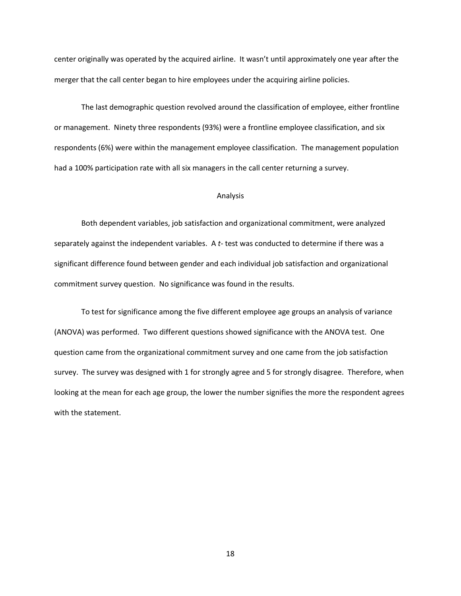center originally was operated by the acquired airline. It wasn't until approximately one year after the merger that the call center began to hire employees under the acquiring airline policies.

The last demographic question revolved around the classification of employee, either frontline or management. Ninety three respondents (93%) were a frontline employee classification, and six respondents (6%) were within the management employee classification. The management population had a 100% participation rate with all six managers in the call center returning a survey.

#### Analysis

Both dependent variables, job satisfaction and organizational commitment, were analyzed separately against the independent variables. A *t-* test was conducted to determine if there was a significant difference found between gender and each individual job satisfaction and organizational commitment survey question. No significance was found in the results.

To test for significance among the five different employee age groups an analysis of variance (ANOVA) was performed. Two different questions showed significance with the ANOVA test. One question came from the organizational commitment survey and one came from the job satisfaction survey. The survey was designed with 1 for strongly agree and 5 for strongly disagree. Therefore, when looking at the mean for each age group, the lower the number signifies the more the respondent agrees with the statement.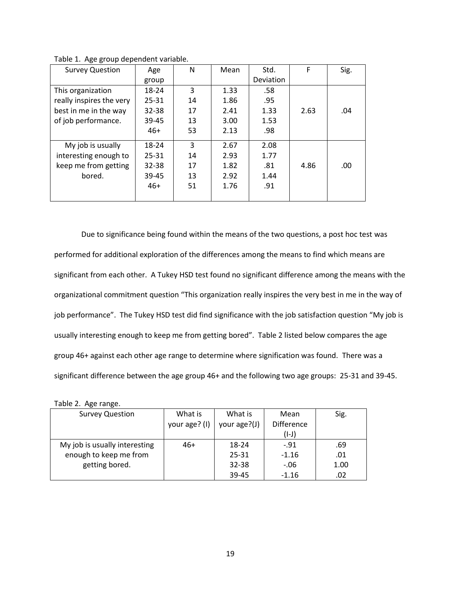| <b>Survey Question</b>   | Age       | N  | Mean | Std.      | F    | Sig. |
|--------------------------|-----------|----|------|-----------|------|------|
|                          | group     |    |      | Deviation |      |      |
| This organization        | 18-24     | 3  | 1.33 | .58       |      |      |
| really inspires the very | $25 - 31$ | 14 | 1.86 | .95       |      |      |
| best in me in the way    | $32 - 38$ | 17 | 2.41 | 1.33      | 2.63 | .04  |
| of job performance.      | 39-45     | 13 | 3.00 | 1.53      |      |      |
|                          | $46+$     | 53 | 2.13 | .98       |      |      |
| My job is usually        | 18-24     | 3  | 2.67 | 2.08      |      |      |
| interesting enough to    | $25 - 31$ | 14 | 2.93 | 1.77      |      |      |
| keep me from getting     | 32-38     | 17 | 1.82 | .81       | 4.86 | .00  |
| bored.                   | 39-45     | 13 | 2.92 | 1.44      |      |      |
|                          | $46+$     | 51 | 1.76 | .91       |      |      |
|                          |           |    |      |           |      |      |

Table 1. Age group dependent variable.

Due to significance being found within the means of the two questions, a post hoc test was performed for additional exploration of the differences among the means to find which means are significant from each other. A Tukey HSD test found no significant difference among the means with the organizational commitment question "This organization really inspires the very best in me in the way of job performance". The Tukey HSD test did find significance with the job satisfaction question "My job is usually interesting enough to keep me from getting bored". Table 2 listed below compares the age group 46+ against each other age range to determine where signification was found. There was a significant difference between the age group 46+ and the following two age groups: 25-31 and 39-45.

| <b>Survey Question</b>        | What is       | What is      | Mean              | Sig. |  |  |
|-------------------------------|---------------|--------------|-------------------|------|--|--|
|                               | your age? (I) | your age?(J) | <b>Difference</b> |      |  |  |
|                               |               |              | $(I-J)$           |      |  |  |
| My job is usually interesting | $46+$         | 18-24        | $-91$             | .69  |  |  |
| enough to keep me from        |               | 25-31        | $-1.16$           | .01  |  |  |
| getting bored.                |               | 32-38        | $-.06$            | 1.00 |  |  |
|                               |               | 39-45        | $-1.16$           | .02  |  |  |

Table 2. Age range.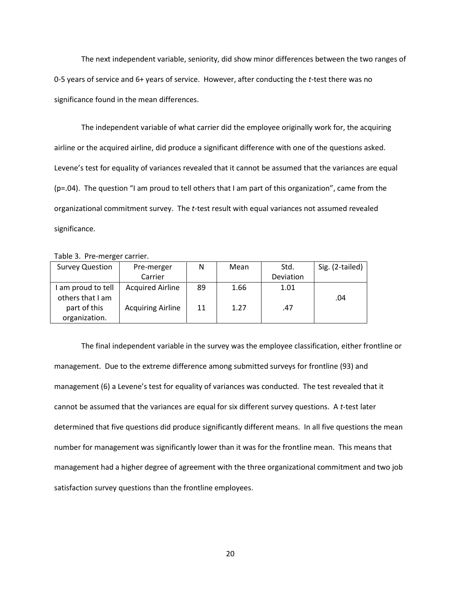The next independent variable, seniority, did show minor differences between the two ranges of 0-5 years of service and 6+ years of service. However, after conducting the *t*-test there was no significance found in the mean differences.

The independent variable of what carrier did the employee originally work for, the acquiring airline or the acquired airline, did produce a significant difference with one of the questions asked. Levene's test for equality of variances revealed that it cannot be assumed that the variances are equal (p=.04). The question "I am proud to tell others that I am part of this organization", came from the organizational commitment survey. The *t*-test result with equal variances not assumed revealed significance.

Table 3. Pre-merger carrier.

| <b>Survey Question</b>                 | Pre-merger               | N  | Mean | Std.      | Sig. (2-tailed) |
|----------------------------------------|--------------------------|----|------|-----------|-----------------|
|                                        | Carrier                  |    |      | Deviation |                 |
| I am proud to tell<br>others that I am | <b>Acquired Airline</b>  | 89 | 1.66 | 1.01      | .04             |
| part of this<br>organization.          | <b>Acquiring Airline</b> | 11 | 1.27 | .47       |                 |

The final independent variable in the survey was the employee classification, either frontline or management. Due to the extreme difference among submitted surveys for frontline (93) and management (6) a Levene's test for equality of variances was conducted. The test revealed that it cannot be assumed that the variances are equal for six different survey questions. A *t*-test later determined that five questions did produce significantly different means. In all five questions the mean number for management was significantly lower than it was for the frontline mean. This means that management had a higher degree of agreement with the three organizational commitment and two job satisfaction survey questions than the frontline employees.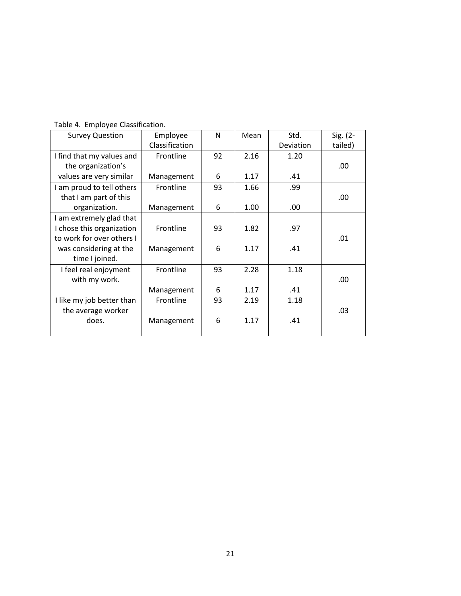| <b>Survey Question</b>    | Employee       | N  | Mean | Std.      | Sig. (2- |
|---------------------------|----------------|----|------|-----------|----------|
|                           | Classification |    |      | Deviation | tailed)  |
| I find that my values and | Frontline      | 92 | 2.16 | 1.20      |          |
| the organization's        |                |    |      |           | .00      |
| values are very similar   | Management     | 6  | 1.17 | .41       |          |
| I am proud to tell others | Frontline      | 93 | 1.66 | .99       |          |
| that I am part of this    |                |    |      |           | .00.     |
| organization.             | Management     | 6  | 1.00 | .00       |          |
| I am extremely glad that  |                |    |      |           |          |
| I chose this organization | Frontline      | 93 | 1.82 | .97       |          |
| to work for over others I |                |    |      |           | .01      |
| was considering at the    | Management     | 6  | 1.17 | .41       |          |
| time I joined.            |                |    |      |           |          |
| I feel real enjoyment     | Frontline      | 93 | 2.28 | 1.18      |          |
| with my work.             |                |    |      |           | .00      |
|                           | Management     | 6  | 1.17 | .41       |          |
| I like my job better than | Frontline      | 93 | 2.19 | 1.18      |          |
| the average worker        |                |    |      |           | .03      |
| does.                     | Management     | 6  | 1.17 | .41       |          |
|                           |                |    |      |           |          |

Table 4. Employee Classification.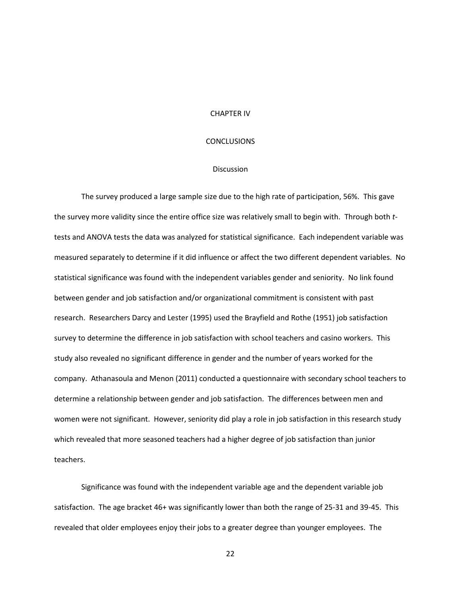#### CHAPTER IV

## **CONCLUSIONS**

#### Discussion

The survey produced a large sample size due to the high rate of participation, 56%. This gave the survey more validity since the entire office size was relatively small to begin with. Through both *t*tests and ANOVA tests the data was analyzed for statistical significance. Each independent variable was measured separately to determine if it did influence or affect the two different dependent variables. No statistical significance was found with the independent variables gender and seniority. No link found between gender and job satisfaction and/or organizational commitment is consistent with past research. Researchers Darcy and Lester (1995) used the Brayfield and Rothe (1951) job satisfaction survey to determine the difference in job satisfaction with school teachers and casino workers. This study also revealed no significant difference in gender and the number of years worked for the company. Athanasoula and Menon (2011) conducted a questionnaire with secondary school teachers to determine a relationship between gender and job satisfaction. The differences between men and women were not significant. However, seniority did play a role in job satisfaction in this research study which revealed that more seasoned teachers had a higher degree of job satisfaction than junior teachers.

Significance was found with the independent variable age and the dependent variable job satisfaction. The age bracket 46+ was significantly lower than both the range of 25-31 and 39-45. This revealed that older employees enjoy their jobs to a greater degree than younger employees. The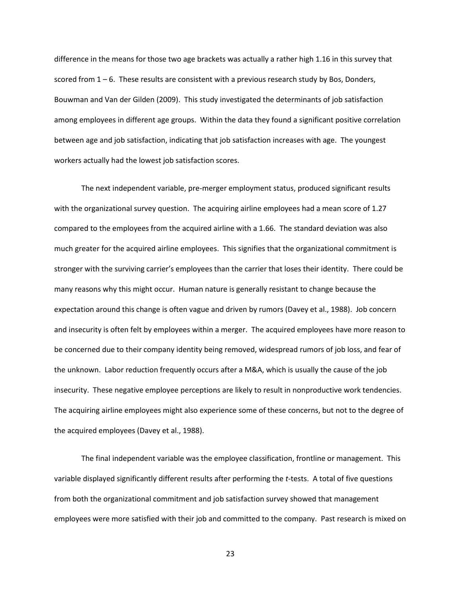difference in the means for those two age brackets was actually a rather high 1.16 in this survey that scored from  $1 - 6$ . These results are consistent with a previous research study by Bos, Donders, Bouwman and Van der Gilden (2009). This study investigated the determinants of job satisfaction among employees in different age groups. Within the data they found a significant positive correlation between age and job satisfaction, indicating that job satisfaction increases with age. The youngest workers actually had the lowest job satisfaction scores.

The next independent variable, pre-merger employment status, produced significant results with the organizational survey question. The acquiring airline employees had a mean score of 1.27 compared to the employees from the acquired airline with a 1.66. The standard deviation was also much greater for the acquired airline employees. This signifies that the organizational commitment is stronger with the surviving carrier's employees than the carrier that loses their identity. There could be many reasons why this might occur. Human nature is generally resistant to change because the expectation around this change is often vague and driven by rumors (Davey et al., 1988). Job concern and insecurity is often felt by employees within a merger. The acquired employees have more reason to be concerned due to their company identity being removed, widespread rumors of job loss, and fear of the unknown. Labor reduction frequently occurs after a M&A, which is usually the cause of the job insecurity. These negative employee perceptions are likely to result in nonproductive work tendencies. The acquiring airline employees might also experience some of these concerns, but not to the degree of the acquired employees (Davey et al., 1988).

The final independent variable was the employee classification, frontline or management. This variable displayed significantly different results after performing the *t*-tests. A total of five questions from both the organizational commitment and job satisfaction survey showed that management employees were more satisfied with their job and committed to the company. Past research is mixed on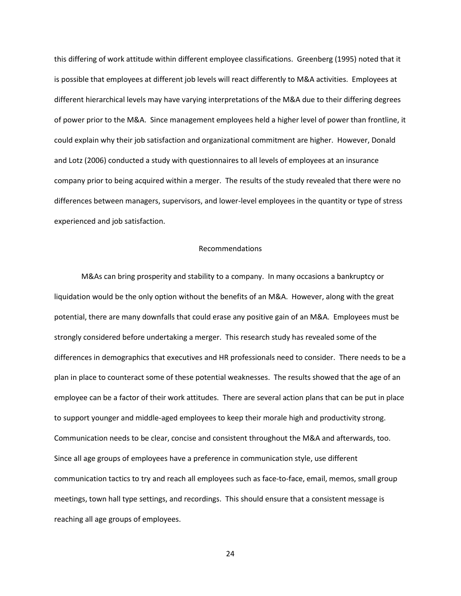this differing of work attitude within different employee classifications. Greenberg (1995) noted that it is possible that employees at different job levels will react differently to M&A activities. Employees at different hierarchical levels may have varying interpretations of the M&A due to their differing degrees of power prior to the M&A. Since management employees held a higher level of power than frontline, it could explain why their job satisfaction and organizational commitment are higher. However, Donald and Lotz (2006) conducted a study with questionnaires to all levels of employees at an insurance company prior to being acquired within a merger. The results of the study revealed that there were no differences between managers, supervisors, and lower-level employees in the quantity or type of stress experienced and job satisfaction.

#### Recommendations

M&As can bring prosperity and stability to a company. In many occasions a bankruptcy or liquidation would be the only option without the benefits of an M&A. However, along with the great potential, there are many downfalls that could erase any positive gain of an M&A. Employees must be strongly considered before undertaking a merger. This research study has revealed some of the differences in demographics that executives and HR professionals need to consider. There needs to be a plan in place to counteract some of these potential weaknesses. The results showed that the age of an employee can be a factor of their work attitudes. There are several action plans that can be put in place to support younger and middle-aged employees to keep their morale high and productivity strong. Communication needs to be clear, concise and consistent throughout the M&A and afterwards, too. Since all age groups of employees have a preference in communication style, use different communication tactics to try and reach all employees such as face-to-face, email, memos, small group meetings, town hall type settings, and recordings. This should ensure that a consistent message is reaching all age groups of employees.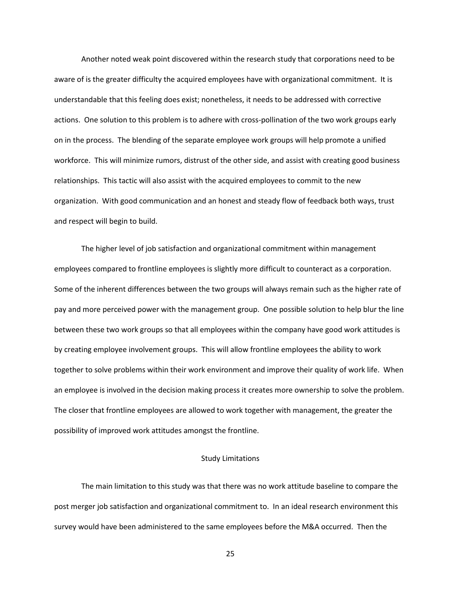Another noted weak point discovered within the research study that corporations need to be aware of is the greater difficulty the acquired employees have with organizational commitment. It is understandable that this feeling does exist; nonetheless, it needs to be addressed with corrective actions. One solution to this problem is to adhere with cross-pollination of the two work groups early on in the process. The blending of the separate employee work groups will help promote a unified workforce. This will minimize rumors, distrust of the other side, and assist with creating good business relationships. This tactic will also assist with the acquired employees to commit to the new organization. With good communication and an honest and steady flow of feedback both ways, trust and respect will begin to build.

The higher level of job satisfaction and organizational commitment within management employees compared to frontline employees is slightly more difficult to counteract as a corporation. Some of the inherent differences between the two groups will always remain such as the higher rate of pay and more perceived power with the management group. One possible solution to help blur the line between these two work groups so that all employees within the company have good work attitudes is by creating employee involvement groups. This will allow frontline employees the ability to work together to solve problems within their work environment and improve their quality of work life. When an employee is involved in the decision making process it creates more ownership to solve the problem. The closer that frontline employees are allowed to work together with management, the greater the possibility of improved work attitudes amongst the frontline.

## Study Limitations

The main limitation to this study was that there was no work attitude baseline to compare the post merger job satisfaction and organizational commitment to. In an ideal research environment this survey would have been administered to the same employees before the M&A occurred. Then the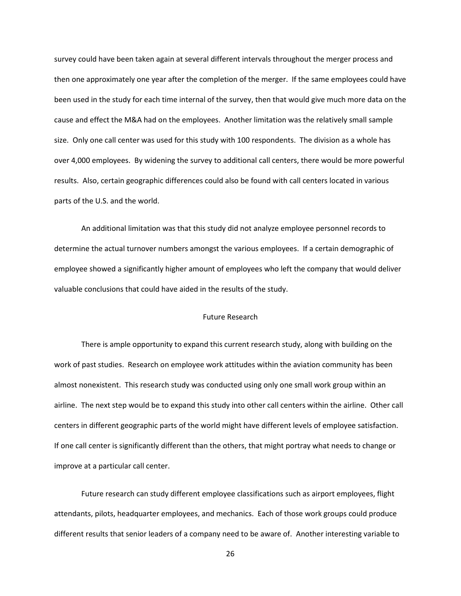survey could have been taken again at several different intervals throughout the merger process and then one approximately one year after the completion of the merger. If the same employees could have been used in the study for each time internal of the survey, then that would give much more data on the cause and effect the M&A had on the employees. Another limitation was the relatively small sample size. Only one call center was used for this study with 100 respondents. The division as a whole has over 4,000 employees. By widening the survey to additional call centers, there would be more powerful results. Also, certain geographic differences could also be found with call centers located in various parts of the U.S. and the world.

An additional limitation was that this study did not analyze employee personnel records to determine the actual turnover numbers amongst the various employees. If a certain demographic of employee showed a significantly higher amount of employees who left the company that would deliver valuable conclusions that could have aided in the results of the study.

## Future Research

There is ample opportunity to expand this current research study, along with building on the work of past studies. Research on employee work attitudes within the aviation community has been almost nonexistent. This research study was conducted using only one small work group within an airline. The next step would be to expand this study into other call centers within the airline. Other call centers in different geographic parts of the world might have different levels of employee satisfaction. If one call center is significantly different than the others, that might portray what needs to change or improve at a particular call center.

Future research can study different employee classifications such as airport employees, flight attendants, pilots, headquarter employees, and mechanics. Each of those work groups could produce different results that senior leaders of a company need to be aware of. Another interesting variable to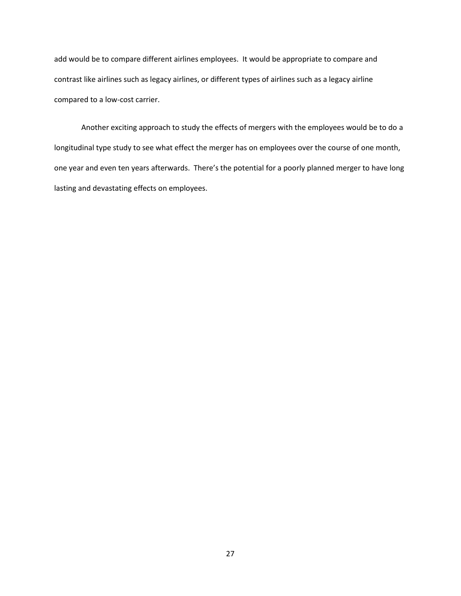add would be to compare different airlines employees. It would be appropriate to compare and contrast like airlines such as legacy airlines, or different types of airlines such as a legacy airline compared to a low-cost carrier.

Another exciting approach to study the effects of mergers with the employees would be to do a longitudinal type study to see what effect the merger has on employees over the course of one month, one year and even ten years afterwards. There's the potential for a poorly planned merger to have long lasting and devastating effects on employees.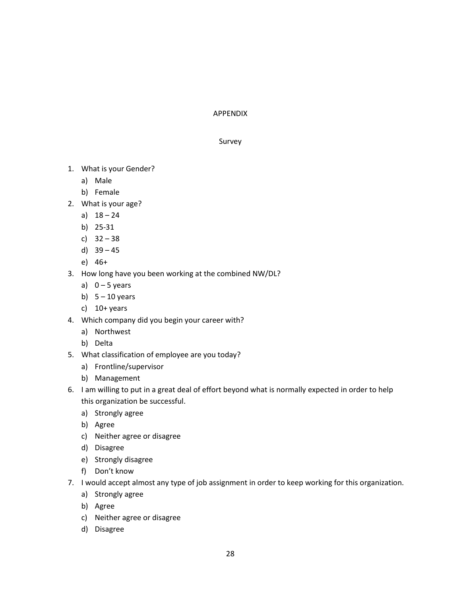# APPENDIX

# Survey

- 1. What is your Gender?
	- a) Male
	- b) Female
- 2. What is your age?
	- a)  $18 24$
	- b) 25-31
	- c) 32 38
	- d) 39 45
	- e) 46+
- 3. How long have you been working at the combined NW/DL?
	- a)  $0 5$  years
	- b)  $5 10$  years
	- c)  $10+$  years
- 4. Which company did you begin your career with?
	- a) Northwest
	- b) Delta
- 5. What classification of employee are you today?
	- a) Frontline/supervisor
	- b) Management
- 6. I am willing to put in a great deal of effort beyond what is normally expected in order to help this organization be successful.
	- a) Strongly agree
	- b) Agree
	- c) Neither agree or disagree
	- d) Disagree
	- e) Strongly disagree
	- f) Don't know
- 7. I would accept almost any type of job assignment in order to keep working for this organization.
	- a) Strongly agree
	- b) Agree
	- c) Neither agree or disagree
	- d) Disagree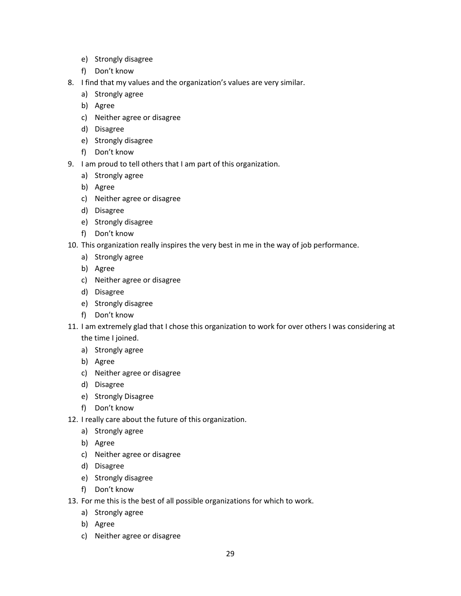- e) Strongly disagree
- f) Don't know
- 8. I find that my values and the organization's values are very similar.
	- a) Strongly agree
	- b) Agree
	- c) Neither agree or disagree
	- d) Disagree
	- e) Strongly disagree
	- f) Don't know
- 9. I am proud to tell others that I am part of this organization.
	- a) Strongly agree
	- b) Agree
	- c) Neither agree or disagree
	- d) Disagree
	- e) Strongly disagree
	- f) Don't know
- 10. This organization really inspires the very best in me in the way of job performance.
	- a) Strongly agree
	- b) Agree
	- c) Neither agree or disagree
	- d) Disagree
	- e) Strongly disagree
	- f) Don't know
- 11. I am extremely glad that I chose this organization to work for over others I was considering at the time I joined.
	- a) Strongly agree
	- b) Agree
	- c) Neither agree or disagree
	- d) Disagree
	- e) Strongly Disagree
	- f) Don't know
- 12. I really care about the future of this organization.
	- a) Strongly agree
	- b) Agree
	- c) Neither agree or disagree
	- d) Disagree
	- e) Strongly disagree
	- f) Don't know
- 13. For me this is the best of all possible organizations for which to work.
	- a) Strongly agree
	- b) Agree
	- c) Neither agree or disagree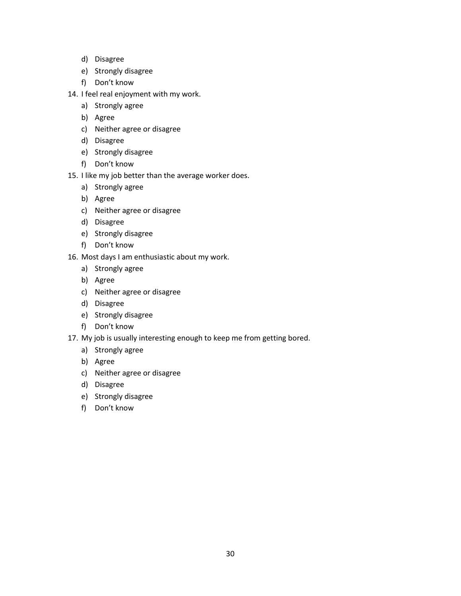- d) Disagree
- e) Strongly disagree
- f) Don't know
- 14. I feel real enjoyment with my work.
	- a) Strongly agree
	- b) Agree
	- c) Neither agree or disagree
	- d) Disagree
	- e) Strongly disagree
	- f) Don't know
- 15. I like my job better than the average worker does.
	- a) Strongly agree
	- b) Agree
	- c) Neither agree or disagree
	- d) Disagree
	- e) Strongly disagree
	- f) Don't know
- 16. Most days I am enthusiastic about my work.
	- a) Strongly agree
	- b) Agree
	- c) Neither agree or disagree
	- d) Disagree
	- e) Strongly disagree
	- f) Don't know
- 17. My job is usually interesting enough to keep me from getting bored.
	- a) Strongly agree
	- b) Agree
	- c) Neither agree or disagree
	- d) Disagree
	- e) Strongly disagree
	- f) Don't know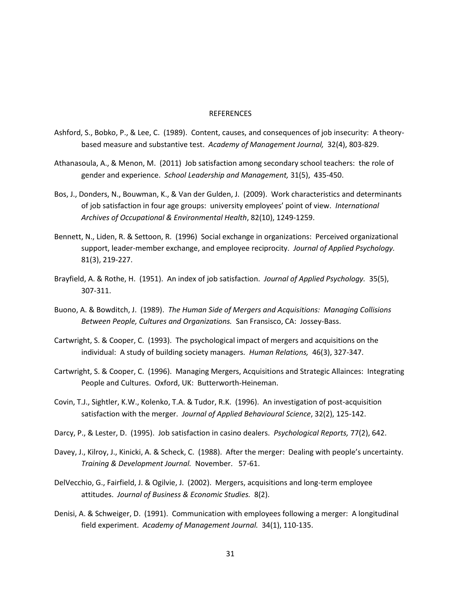#### **REFERENCES**

- Ashford, S., Bobko, P., & Lee, C. (1989). Content, causes, and consequences of job insecurity: A theorybased measure and substantive test. *Academy of Management Journal,* 32(4), 803-829.
- Athanasoula, A., & Menon, M. (2011) Job satisfaction among secondary school teachers: the role of gender and experience. *School Leadership and Management,* 31(5), 435-450.
- Bos, J., Donders, N., Bouwman, K., & Van der Gulden, J. (2009). Work characteristics and determinants of job satisfaction in four age groups: university employees' point of view. *International Archives of Occupational & Environmental Health*, 82(10), 1249-1259.
- Bennett, N., Liden, R. & Settoon, R. (1996) Social exchange in organizations: Perceived organizational support, leader-member exchange, and employee reciprocity. *Journal of Applied Psychology.*  81(3), 219-227.
- Brayfield, A. & Rothe, H. (1951). An index of job satisfaction. *Journal of Applied Psychology.* 35(5), 307-311.
- Buono, A. & Bowditch, J. (1989). *The Human Side of Mergers and Acquisitions: Managing Collisions Between People, Cultures and Organizations.* San Fransisco, CA: Jossey-Bass.
- Cartwright, S. & Cooper, C. (1993). The psychological impact of mergers and acquisitions on the individual: A study of building society managers. *Human Relations,* 46(3), 327-347.
- Cartwright, S. & Cooper, C. (1996). Managing Mergers, Acquisitions and Strategic Allainces: Integrating People and Cultures. Oxford, UK: Butterworth-Heineman.
- Covin, T.J., Sightler, K.W., Kolenko, T.A. & Tudor, R.K. (1996). An investigation of post-acquisition satisfaction with the merger. *Journal of Applied Behavioural Science*, 32(2), 125-142.
- Darcy, P., & Lester, D. (1995). Job satisfaction in casino dealers. *Psychological Reports,* 77(2), 642.
- Davey, J., Kilroy, J., Kinicki, A. & Scheck, C. (1988). After the merger: Dealing with people's uncertainty. *Training & Development Journal.* November. 57-61.
- DelVecchio, G., Fairfield, J. & Ogilvie, J. (2002). Mergers, acquisitions and long-term employee attitudes. *Journal of Business & Economic Studies.* 8(2).
- Denisi, A. & Schweiger, D. (1991). Communication with employees following a merger: A longitudinal field experiment. *Academy of Management Journal.* 34(1), 110-135.